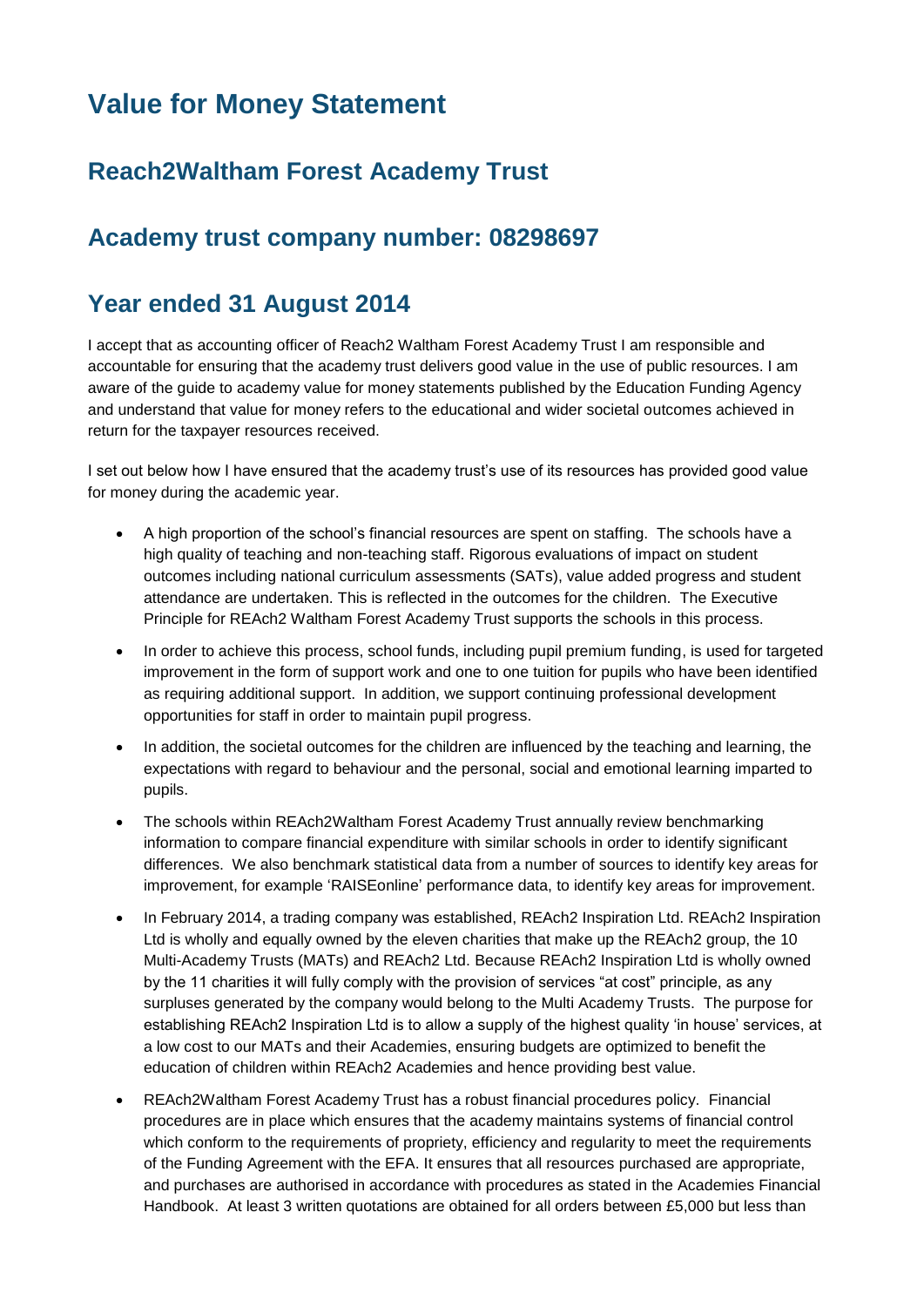# **Value for Money Statement**

## **Reach2Waltham Forest Academy Trust**

### **Academy trust company number: 08298697**

#### **Year ended 31 August 2014**

I accept that as accounting officer of Reach2 Waltham Forest Academy Trust I am responsible and accountable for ensuring that the academy trust delivers good value in the use of public resources. I am aware of the guide to academy value for money statements published by the Education Funding Agency and understand that value for money refers to the educational and wider societal outcomes achieved in return for the taxpayer resources received.

I set out below how I have ensured that the academy trust's use of its resources has provided good value for money during the academic year.

- A high proportion of the school's financial resources are spent on staffing. The schools have a high quality of teaching and non-teaching staff. Rigorous evaluations of impact on student outcomes including national curriculum assessments (SATs), value added progress and student attendance are undertaken. This is reflected in the outcomes for the children. The Executive Principle for REAch2 Waltham Forest Academy Trust supports the schools in this process.
- In order to achieve this process, school funds, including pupil premium funding, is used for targeted improvement in the form of support work and one to one tuition for pupils who have been identified as requiring additional support. In addition, we support continuing professional development opportunities for staff in order to maintain pupil progress.
- In addition, the societal outcomes for the children are influenced by the teaching and learning, the expectations with regard to behaviour and the personal, social and emotional learning imparted to pupils.
- The schools within REAch2Waltham Forest Academy Trust annually review benchmarking information to compare financial expenditure with similar schools in order to identify significant differences. We also benchmark statistical data from a number of sources to identify key areas for improvement, for example 'RAISEonline' performance data, to identify key areas for improvement.
- In February 2014, a trading company was established, REAch2 Inspiration Ltd. REAch2 Inspiration Ltd is wholly and equally owned by the eleven charities that make up the REAch2 group, the 10 Multi-Academy Trusts (MATs) and REAch2 Ltd. Because REAch2 Inspiration Ltd is wholly owned by the 11 charities it will fully comply with the provision of services "at cost" principle, as any surpluses generated by the company would belong to the Multi Academy Trusts. The purpose for establishing REAch2 Inspiration Ltd is to allow a supply of the highest quality 'in house' services, at a low cost to our MATs and their Academies, ensuring budgets are optimized to benefit the education of children within REAch2 Academies and hence providing best value.
- REAch2Waltham Forest Academy Trust has a robust financial procedures policy. Financial procedures are in place which ensures that the academy maintains systems of financial control which conform to the requirements of propriety, efficiency and regularity to meet the requirements of the Funding Agreement with the EFA. It ensures that all resources purchased are appropriate, and purchases are authorised in accordance with procedures as stated in the Academies Financial Handbook. At least 3 written quotations are obtained for all orders between £5,000 but less than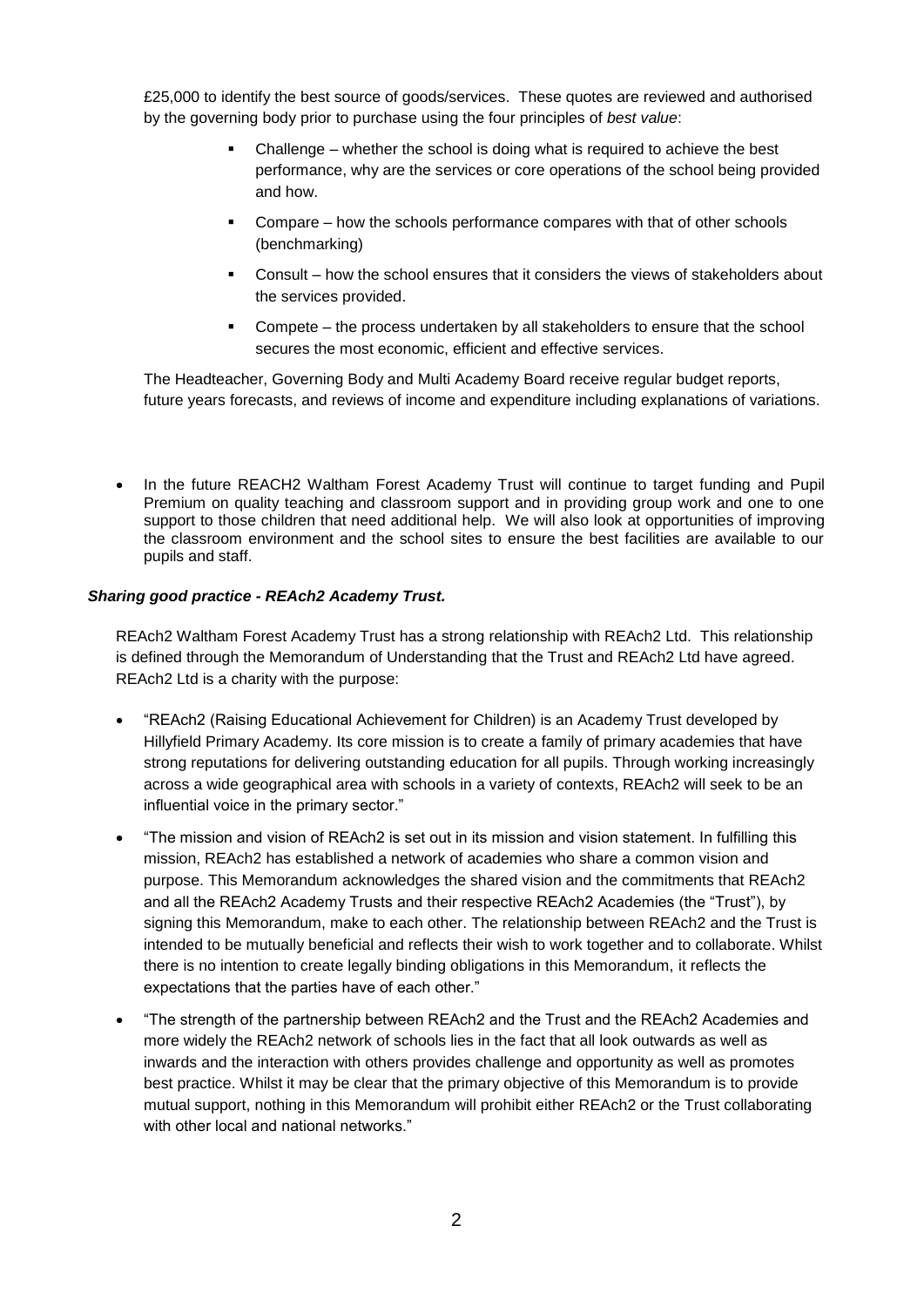£25,000 to identify the best source of goods/services. These quotes are reviewed and authorised by the governing body prior to purchase using the four principles of *best value*:

- Challenge whether the school is doing what is required to achieve the best performance, why are the services or core operations of the school being provided and how.
- Compare how the schools performance compares with that of other schools (benchmarking)
- Consult how the school ensures that it considers the views of stakeholders about the services provided.
- Compete the process undertaken by all stakeholders to ensure that the school secures the most economic, efficient and effective services.

The Headteacher, Governing Body and Multi Academy Board receive regular budget reports, future years forecasts, and reviews of income and expenditure including explanations of variations.

 In the future REACH2 Waltham Forest Academy Trust will continue to target funding and Pupil Premium on quality teaching and classroom support and in providing group work and one to one support to those children that need additional help. We will also look at opportunities of improving the classroom environment and the school sites to ensure the best facilities are available to our pupils and staff.

#### *Sharing good practice - REAch2 Academy Trust.*

REAch2 Waltham Forest Academy Trust has a strong relationship with REAch2 Ltd. This relationship is defined through the Memorandum of Understanding that the Trust and REAch2 Ltd have agreed. REAch2 Ltd is a charity with the purpose:

- "REAch2 (Raising Educational Achievement for Children) is an Academy Trust developed by Hillyfield Primary Academy. Its core mission is to create a family of primary academies that have strong reputations for delivering outstanding education for all pupils. Through working increasingly across a wide geographical area with schools in a variety of contexts, REAch2 will seek to be an influential voice in the primary sector."
- "The mission and vision of REAch2 is set out in its mission and vision statement. In fulfilling this mission, REAch2 has established a network of academies who share a common vision and purpose. This Memorandum acknowledges the shared vision and the commitments that REAch2 and all the REAch2 Academy Trusts and their respective REAch2 Academies (the "Trust"), by signing this Memorandum, make to each other. The relationship between REAch2 and the Trust is intended to be mutually beneficial and reflects their wish to work together and to collaborate. Whilst there is no intention to create legally binding obligations in this Memorandum, it reflects the expectations that the parties have of each other."
- "The strength of the partnership between REAch2 and the Trust and the REAch2 Academies and more widely the REAch2 network of schools lies in the fact that all look outwards as well as inwards and the interaction with others provides challenge and opportunity as well as promotes best practice. Whilst it may be clear that the primary objective of this Memorandum is to provide mutual support, nothing in this Memorandum will prohibit either REAch2 or the Trust collaborating with other local and national networks."